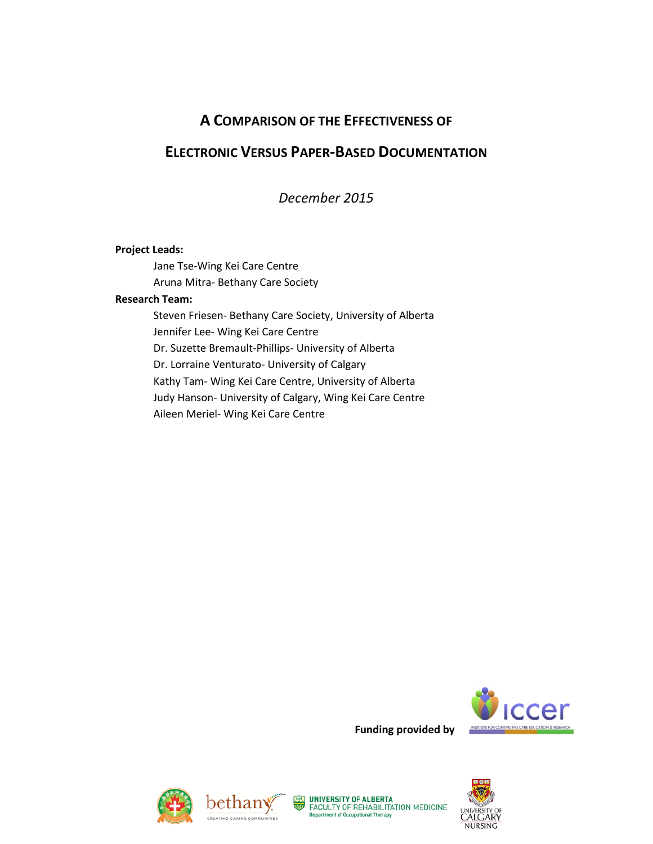# **A COMPARISON OF THE EFFECTIVENESS OF**

# **ELECTRONIC VERSUS PAPER-BASED DOCUMENTATION**

*December 2015*

#### **Project Leads:**

Jane Tse-Wing Kei Care Centre Aruna Mitra- Bethany Care Society

#### **Research Team:**

Steven Friesen- Bethany Care Society, University of Alberta Jennifer Lee- Wing Kei Care Centre Dr. Suzette Bremault-Phillips- University of Alberta Dr. Lorraine Venturato- University of Calgary Kathy Tam- Wing Kei Care Centre, University of Alberta Judy Hanson- University of Calgary, Wing Kei Care Centre Aileen Meriel- Wing Kei Care Centre









**Funding provided by** 

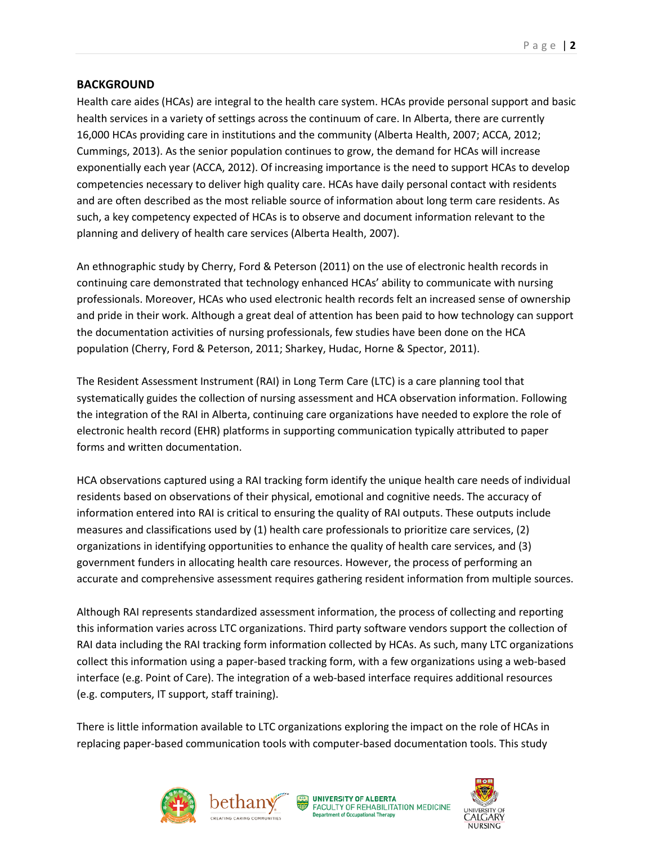## **BACKGROUND**

Health care aides (HCAs) are integral to the health care system. HCAs provide personal support and basic health services in a variety of settings across the continuum of care. In Alberta, there are currently 16,000 HCAs providing care in institutions and the community (Alberta Health, 2007; ACCA, 2012; Cummings, 2013). As the senior population continues to grow, the demand for HCAs will increase exponentially each year (ACCA, 2012). Of increasing importance is the need to support HCAs to develop competencies necessary to deliver high quality care. HCAs have daily personal contact with residents and are often described as the most reliable source of information about long term care residents. As such, a key competency expected of HCAs is to observe and document information relevant to the planning and delivery of health care services (Alberta Health, 2007).

An ethnographic study by Cherry, Ford & Peterson (2011) on the use of electronic health records in continuing care demonstrated that technology enhanced HCAs' ability to communicate with nursing professionals. Moreover, HCAs who used electronic health records felt an increased sense of ownership and pride in their work. Although a great deal of attention has been paid to how technology can support the documentation activities of nursing professionals, few studies have been done on the HCA population (Cherry, Ford & Peterson, 2011; Sharkey, Hudac, Horne & Spector, 2011).

The Resident Assessment Instrument (RAI) in Long Term Care (LTC) is a care planning tool that systematically guides the collection of nursing assessment and HCA observation information. Following the integration of the RAI in Alberta, continuing care organizations have needed to explore the role of electronic health record (EHR) platforms in supporting communication typically attributed to paper forms and written documentation.

HCA observations captured using a RAI tracking form identify the unique health care needs of individual residents based on observations of their physical, emotional and cognitive needs. The accuracy of information entered into RAI is critical to ensuring the quality of RAI outputs. These outputs include measures and classifications used by (1) health care professionals to prioritize care services, (2) organizations in identifying opportunities to enhance the quality of health care services, and (3) government funders in allocating health care resources. However, the process of performing an accurate and comprehensive assessment requires gathering resident information from multiple sources.

Although RAI represents standardized assessment information, the process of collecting and reporting this information varies across LTC organizations. Third party software vendors support the collection of RAI data including the RAI tracking form information collected by HCAs. As such, many LTC organizations collect this information using a paper-based tracking form, with a few organizations using a web-based interface (e.g. Point of Care). The integration of a web-based interface requires additional resources (e.g. computers, IT support, staff training).

There is little information available to LTC organizations exploring the impact on the role of HCAs in replacing paper-based communication tools with computer-based documentation tools. This study







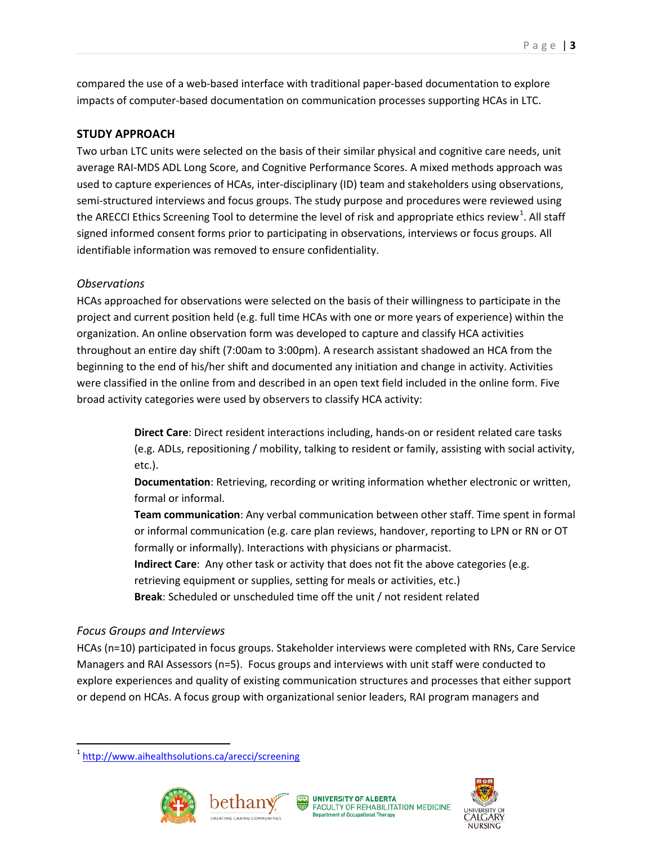compared the use of a web-based interface with traditional paper-based documentation to explore impacts of computer-based documentation on communication processes supporting HCAs in LTC.

## **STUDY APPROACH**

Two urban LTC units were selected on the basis of their similar physical and cognitive care needs, unit average RAI-MDS ADL Long Score, and Cognitive Performance Scores. A mixed methods approach was used to capture experiences of HCAs, inter-disciplinary (ID) team and stakeholders using observations, semi-structured interviews and focus groups. The study purpose and procedures were reviewed using the ARECCI Ethics Screening Tool to determine the level of risk and appropriate ethics review<sup>[1](#page-2-0)</sup>. All staff signed informed consent forms prior to participating in observations, interviews or focus groups. All identifiable information was removed to ensure confidentiality.

## *Observations*

HCAs approached for observations were selected on the basis of their willingness to participate in the project and current position held (e.g. full time HCAs with one or more years of experience) within the organization. An online observation form was developed to capture and classify HCA activities throughout an entire day shift (7:00am to 3:00pm). A research assistant shadowed an HCA from the beginning to the end of his/her shift and documented any initiation and change in activity. Activities were classified in the online from and described in an open text field included in the online form. Five broad activity categories were used by observers to classify HCA activity:

> **Direct Care**: Direct resident interactions including, hands-on or resident related care tasks (e.g. ADLs, repositioning / mobility, talking to resident or family, assisting with social activity, etc.).

**Documentation**: Retrieving, recording or writing information whether electronic or written, formal or informal.

**Team communication**: Any verbal communication between other staff. Time spent in formal or informal communication (e.g. care plan reviews, handover, reporting to LPN or RN or OT formally or informally). Interactions with physicians or pharmacist.

**Indirect Care:** Any other task or activity that does not fit the above categories (e.g. retrieving equipment or supplies, setting for meals or activities, etc.)

**Break**: Scheduled or unscheduled time off the unit / not resident related

## *Focus Groups and Interviews*

HCAs (n=10) participated in focus groups. Stakeholder interviews were completed with RNs, Care Service Managers and RAI Assessors (n=5). Focus groups and interviews with unit staff were conducted to explore experiences and quality of existing communication structures and processes that either support or depend on HCAs. A focus group with organizational senior leaders, RAI program managers and

<span id="page-2-0"></span> <sup>1</sup> <http://www.aihealthsolutions.ca/arecci/screening>







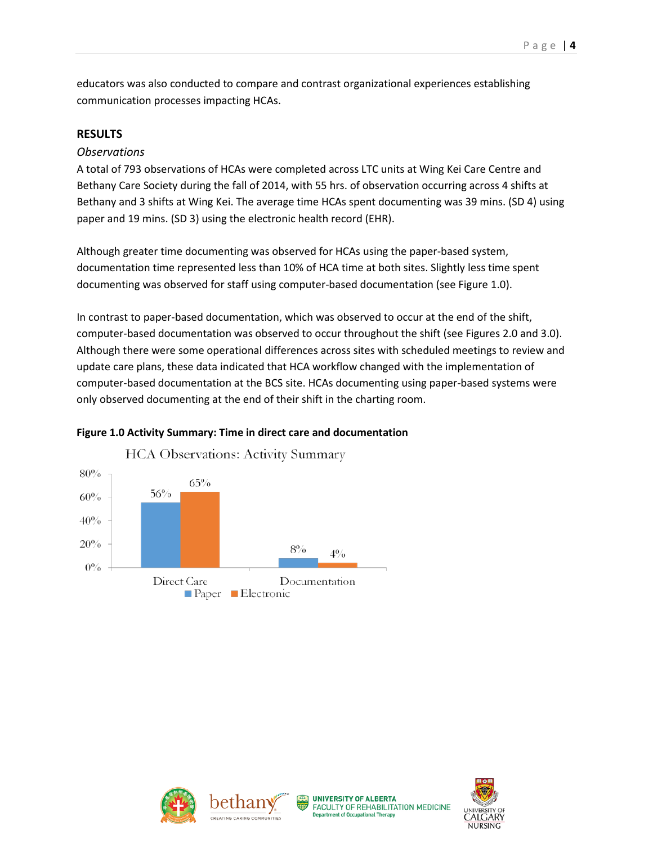educators was also conducted to compare and contrast organizational experiences establishing communication processes impacting HCAs.

# **RESULTS**

## *Observations*

A total of 793 observations of HCAs were completed across LTC units at Wing Kei Care Centre and Bethany Care Society during the fall of 2014, with 55 hrs. of observation occurring across 4 shifts at Bethany and 3 shifts at Wing Kei. The average time HCAs spent documenting was 39 mins. (SD 4) using paper and 19 mins. (SD 3) using the electronic health record (EHR).

Although greater time documenting was observed for HCAs using the paper-based system, documentation time represented less than 10% of HCA time at both sites. Slightly less time spent documenting was observed for staff using computer-based documentation (see Figure 1.0).

In contrast to paper-based documentation, which was observed to occur at the end of the shift, computer-based documentation was observed to occur throughout the shift (see Figures 2.0 and 3.0). Although there were some operational differences across sites with scheduled meetings to review and update care plans, these data indicated that HCA workflow changed with the implementation of computer-based documentation at the BCS site. HCAs documenting using paper-based systems were only observed documenting at the end of their shift in the charting room.



**Figure 1.0 Activity Summary: Time in direct care and documentation**







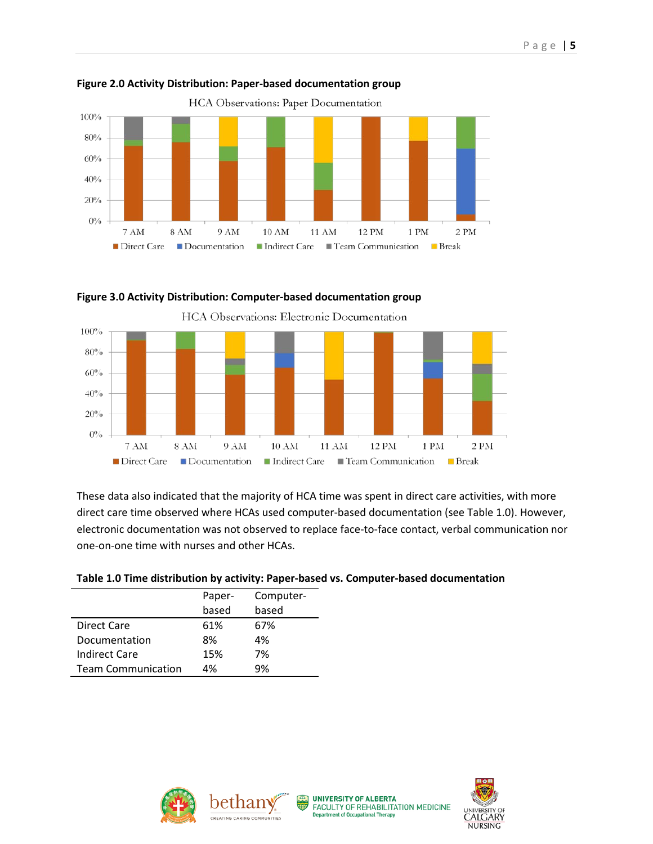

## **Figure 2.0 Activity Distribution: Paper-based documentation group**



#### **Figure 3.0 Activity Distribution: Computer-based documentation group**

These data also indicated that the majority of HCA time was spent in direct care activities, with more direct care time observed where HCAs used computer-based documentation (see Table 1.0). However, electronic documentation was not observed to replace face-to-face contact, verbal communication nor one-on-one time with nurses and other HCAs.

#### **Table 1.0 Time distribution by activity: Paper-based vs. Computer-based documentation**

|                           | Paper- | Computer- |
|---------------------------|--------|-----------|
|                           | based  | based     |
| <b>Direct Care</b>        | 61%    | 67%       |
| Documentation             | 8%     | 4%        |
| Indirect Care             | 15%    | 7%        |
| <b>Team Communication</b> | 4%     | 9%        |







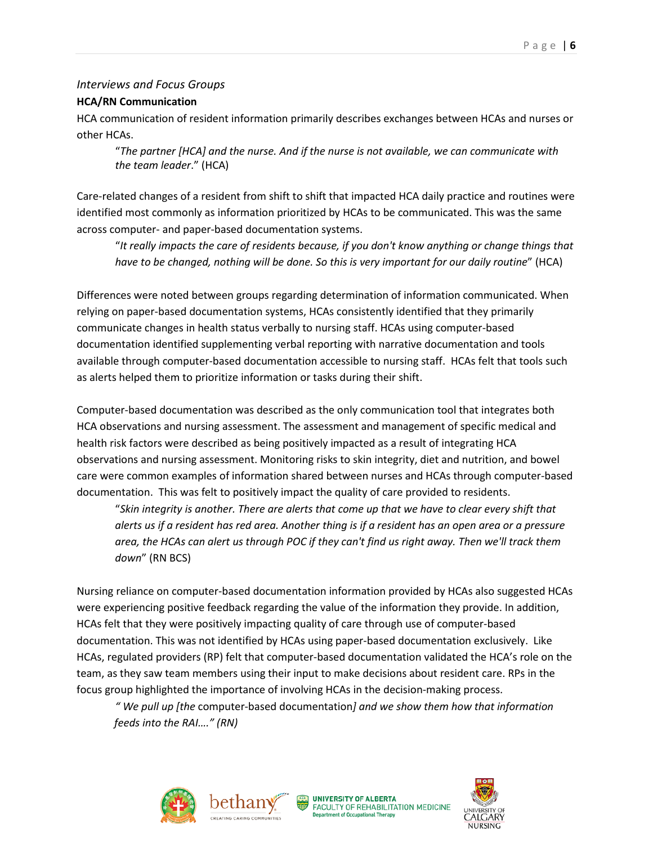## *Interviews and Focus Groups*

#### **HCA/RN Communication**

HCA communication of resident information primarily describes exchanges between HCAs and nurses or other HCAs.

"*The partner [HCA] and the nurse. And if the nurse is not available, we can communicate with the team leader*." (HCA)

Care-related changes of a resident from shift to shift that impacted HCA daily practice and routines were identified most commonly as information prioritized by HCAs to be communicated. This was the same across computer- and paper-based documentation systems.

"*It really impacts the care of residents because, if you don't know anything or change things that have to be changed, nothing will be done. So this is very important for our daily routine*" (HCA)

Differences were noted between groups regarding determination of information communicated. When relying on paper-based documentation systems, HCAs consistently identified that they primarily communicate changes in health status verbally to nursing staff. HCAs using computer-based documentation identified supplementing verbal reporting with narrative documentation and tools available through computer-based documentation accessible to nursing staff. HCAs felt that tools such as alerts helped them to prioritize information or tasks during their shift.

Computer-based documentation was described as the only communication tool that integrates both HCA observations and nursing assessment. The assessment and management of specific medical and health risk factors were described as being positively impacted as a result of integrating HCA observations and nursing assessment. Monitoring risks to skin integrity, diet and nutrition, and bowel care were common examples of information shared between nurses and HCAs through computer-based documentation. This was felt to positively impact the quality of care provided to residents.

"*Skin integrity is another. There are alerts that come up that we have to clear every shift that alerts us if a resident has red area. Another thing is if a resident has an open area or a pressure area, the HCAs can alert us through POC if they can't find us right away. Then we'll track them down*" (RN BCS)

Nursing reliance on computer-based documentation information provided by HCAs also suggested HCAs were experiencing positive feedback regarding the value of the information they provide. In addition, HCAs felt that they were positively impacting quality of care through use of computer-based documentation. This was not identified by HCAs using paper-based documentation exclusively. Like HCAs, regulated providers (RP) felt that computer-based documentation validated the HCA's role on the team, as they saw team members using their input to make decisions about resident care. RPs in the focus group highlighted the importance of involving HCAs in the decision-making process.

*" We pull up [the* computer-based documentation*] and we show them how that information feeds into the RAI…." (RN)*







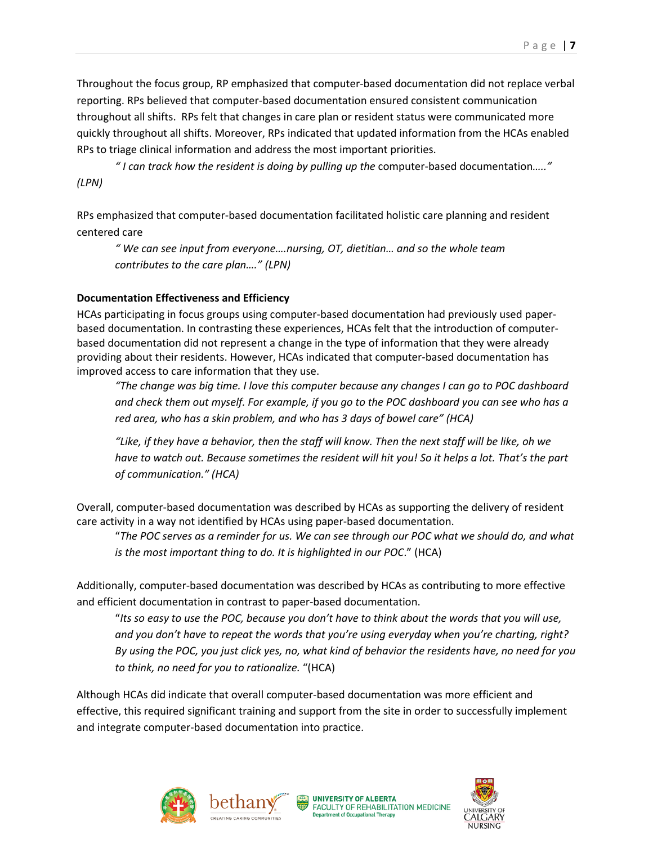Throughout the focus group, RP emphasized that computer-based documentation did not replace verbal reporting. RPs believed that computer-based documentation ensured consistent communication throughout all shifts. RPs felt that changes in care plan or resident status were communicated more quickly throughout all shifts. Moreover, RPs indicated that updated information from the HCAs enabled RPs to triage clinical information and address the most important priorities.

*" I can track how the resident is doing by pulling up the* computer-based documentation*….." (LPN)*

RPs emphasized that computer-based documentation facilitated holistic care planning and resident centered care

*" We can see input from everyone….nursing, OT, dietitian… and so the whole team contributes to the care plan…." (LPN)*

## **Documentation Effectiveness and Efficiency**

HCAs participating in focus groups using computer-based documentation had previously used paperbased documentation. In contrasting these experiences, HCAs felt that the introduction of computerbased documentation did not represent a change in the type of information that they were already providing about their residents. However, HCAs indicated that computer-based documentation has improved access to care information that they use.

*"The change was big time. I love this computer because any changes I can go to POC dashboard and check them out myself. For example, if you go to the POC dashboard you can see who has a red area, who has a skin problem, and who has 3 days of bowel care" (HCA)*

*"Like, if they have a behavior, then the staff will know. Then the next staff will be like, oh we have to watch out. Because sometimes the resident will hit you! So it helps a lot. That's the part of communication." (HCA)*

Overall, computer-based documentation was described by HCAs as supporting the delivery of resident care activity in a way not identified by HCAs using paper-based documentation.

"*The POC serves as a reminder for us. We can see through our POC what we should do, and what is the most important thing to do. It is highlighted in our POC*." (HCA)

Additionally, computer-based documentation was described by HCAs as contributing to more effective and efficient documentation in contrast to paper-based documentation.

"*Its so easy to use the POC, because you don't have to think about the words that you will use, and you don't have to repeat the words that you're using everyday when you're charting, right? By using the POC, you just click yes, no, what kind of behavior the residents have, no need for you to think, no need for you to rationalize.* "(HCA)

Although HCAs did indicate that overall computer-based documentation was more efficient and effective, this required significant training and support from the site in order to successfully implement and integrate computer-based documentation into practice.







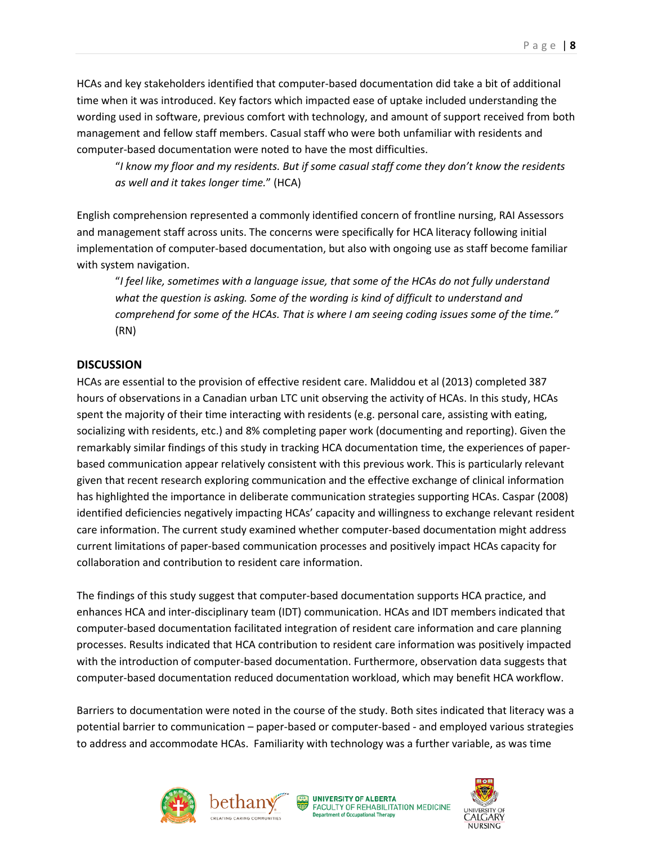HCAs and key stakeholders identified that computer-based documentation did take a bit of additional time when it was introduced. Key factors which impacted ease of uptake included understanding the wording used in software, previous comfort with technology, and amount of support received from both management and fellow staff members. Casual staff who were both unfamiliar with residents and computer-based documentation were noted to have the most difficulties.

"*I know my floor and my residents. But if some casual staff come they don't know the residents as well and it takes longer time.*" (HCA)

English comprehension represented a commonly identified concern of frontline nursing, RAI Assessors and management staff across units. The concerns were specifically for HCA literacy following initial implementation of computer-based documentation, but also with ongoing use as staff become familiar with system navigation.

"*I feel like, sometimes with a language issue, that some of the HCAs do not fully understand*  what the question is asking. Some of the wording is kind of difficult to understand and *comprehend for some of the HCAs. That is where I am seeing coding issues some of the time."*  (RN)

## **DISCUSSION**

HCAs are essential to the provision of effective resident care. Maliddou et al (2013) completed 387 hours of observations in a Canadian urban LTC unit observing the activity of HCAs. In this study, HCAs spent the majority of their time interacting with residents (e.g. personal care, assisting with eating, socializing with residents, etc.) and 8% completing paper work (documenting and reporting). Given the remarkably similar findings of this study in tracking HCA documentation time, the experiences of paperbased communication appear relatively consistent with this previous work. This is particularly relevant given that recent research exploring communication and the effective exchange of clinical information has highlighted the importance in deliberate communication strategies supporting HCAs. Caspar (2008) identified deficiencies negatively impacting HCAs' capacity and willingness to exchange relevant resident care information. The current study examined whether computer-based documentation might address current limitations of paper-based communication processes and positively impact HCAs capacity for collaboration and contribution to resident care information.

The findings of this study suggest that computer-based documentation supports HCA practice, and enhances HCA and inter-disciplinary team (IDT) communication. HCAs and IDT members indicated that computer-based documentation facilitated integration of resident care information and care planning processes. Results indicated that HCA contribution to resident care information was positively impacted with the introduction of computer-based documentation. Furthermore, observation data suggests that computer-based documentation reduced documentation workload, which may benefit HCA workflow.

Barriers to documentation were noted in the course of the study. Both sites indicated that literacy was a potential barrier to communication – paper-based or computer-based - and employed various strategies to address and accommodate HCAs. Familiarity with technology was a further variable, as was time







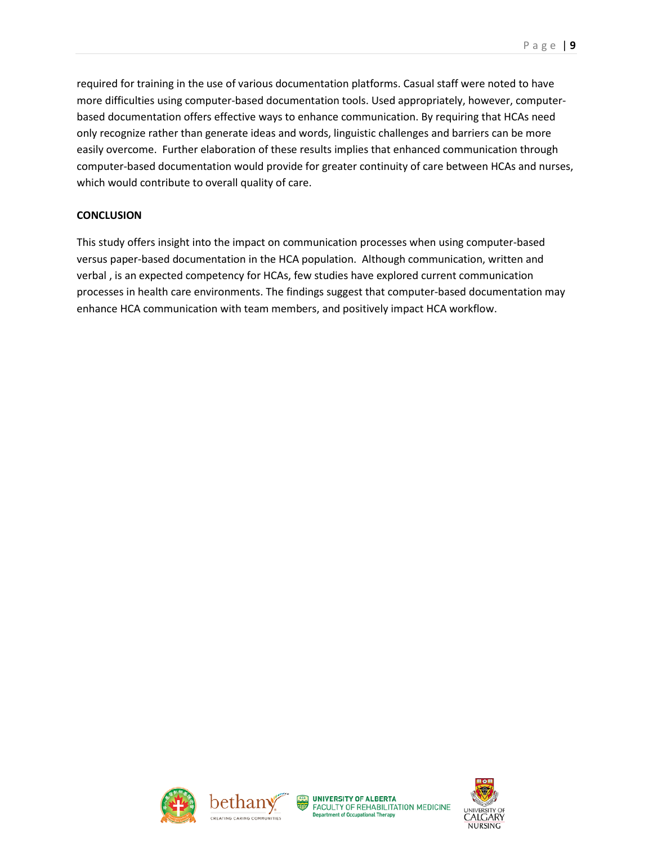required for training in the use of various documentation platforms. Casual staff were noted to have more difficulties using computer-based documentation tools. Used appropriately, however, computerbased documentation offers effective ways to enhance communication. By requiring that HCAs need only recognize rather than generate ideas and words, linguistic challenges and barriers can be more easily overcome. Further elaboration of these results implies that enhanced communication through computer-based documentation would provide for greater continuity of care between HCAs and nurses, which would contribute to overall quality of care.

## **CONCLUSION**

This study offers insight into the impact on communication processes when using computer-based versus paper-based documentation in the HCA population. Although communication, written and verbal , is an expected competency for HCAs, few studies have explored current communication processes in health care environments. The findings suggest that computer-based documentation may enhance HCA communication with team members, and positively impact HCA workflow.